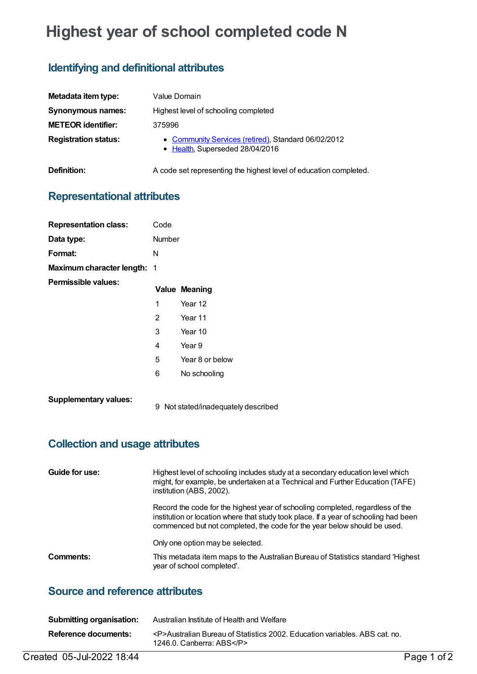# **Highest year of school completed code N**

## **Identifying and definitional attributes**

| Metadata item type:         | Value Domain                                                                           |
|-----------------------------|----------------------------------------------------------------------------------------|
| <b>Synonymous names:</b>    | Highest level of schooling completed                                                   |
| <b>METEOR identifier:</b>   | 375996                                                                                 |
| <b>Registration status:</b> | • Community Services (retired), Standard 06/02/2012<br>• Health, Superseded 28/04/2016 |

**Definition:** A code set representing the highest level of education completed.

### **Representational attributes**

| <b>Representation class:</b>       | Code           |                                   |
|------------------------------------|----------------|-----------------------------------|
| Data type:                         | Number         |                                   |
| Format:                            | N              |                                   |
| <b>Maximum character length: 1</b> |                |                                   |
| Permissible values:                |                | <b>Value Meaning</b>              |
|                                    | 1              | Year 12                           |
|                                    | $\overline{2}$ | Year 11                           |
|                                    | 3              | Year 10                           |
|                                    | 4              | Year 9                            |
|                                    | 5              | Year 8 or below                   |
|                                    | 6              | No schooling                      |
| <b>Supplementary values:</b>       | 9              | Not stated/inadequately described |

### **Collection and usage attributes**

| Guide for use: | Highest level of schooling includes study at a secondary education level which<br>might, for example, be undertaken at a Technical and Further Education (TAFE)<br>institution (ABS, 2002).                                                        |
|----------------|----------------------------------------------------------------------------------------------------------------------------------------------------------------------------------------------------------------------------------------------------|
|                | Record the code for the highest year of schooling completed, regardless of the<br>institution or location where that study took place. If a year of schooling had been<br>commenced but not completed, the code for the year below should be used. |
|                | Only one option may be selected.                                                                                                                                                                                                                   |
| Comments:      | This metadata item maps to the Australian Bureau of Statistics standard 'Highest<br>year of school completed'.                                                                                                                                     |

#### **Source and reference attributes**

| <b>Submitting organisation:</b> | Australian Institute of Health and Welfare                                                               |
|---------------------------------|----------------------------------------------------------------------------------------------------------|
| Reference documents:            | <p>Australian Bureau of Statistics 2002. Education variables. ABS cat. no.<br/>1246.0. Canberra: ABS</p> |